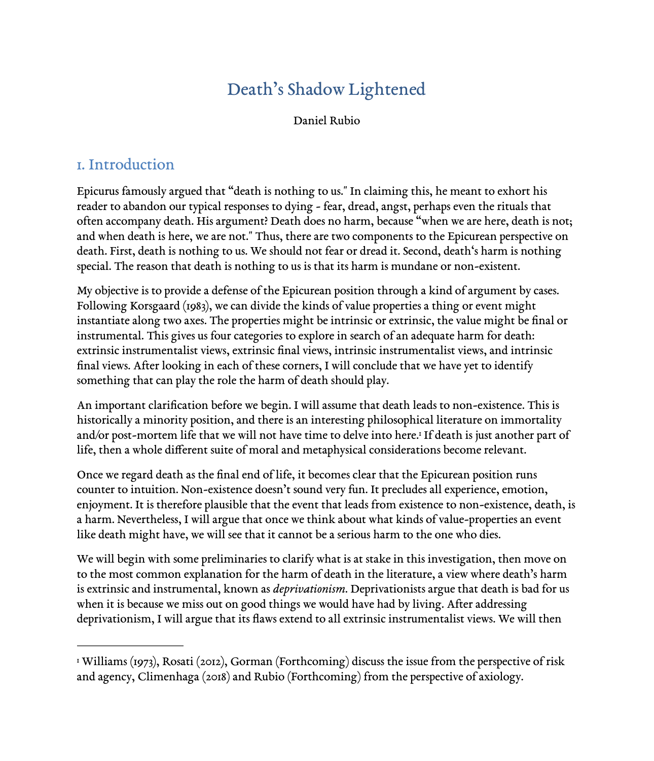# Death's Shadow Lightened

<span id="page-0-1"></span>Daniel Rubio

## 1. Introduction

Epicurus famously argued that "death is nothing to us." In claiming this, he meant to exhort his reader to abandon our typical responses to dying - fear, dread, angst, perhaps even the rituals that often accompany death. His argument? Death does no harm, because "when we are here, death is not; and when death is here, we are not." Thus, there are two components to the Epicurean perspective on death. First, death is nothing to us. We should not fear or dread it. Second, death's harm is nothing special. The reason that death is nothing to us is that its harm is mundane or non-existent.

My objective is to provide a defense of the Epicurean position through a kind of argument by cases. Following Korsgaard (1983), we can divide the kinds of value properties a thing or event might instantiate along two axes. The properties might be intrinsic or extrinsic, the value might be fnal or instrumental. This gives us four categories to explore in search of an adequate harm for death: extrinsic instrumentalist views, extrinsic fnal views, intrinsic instrumentalist views, and intrinsic fnal views. After looking in each of these corners, I will conclude that we have yet to identify something that can play the role the harm of death should play.

An important clarifcation before we begin. I will assume that death leads to non-existence. This is historically a minority position, and there is an interesting philosophical literature on immortality and/or post-mortem life that we will not have time to delve into here[.](#page-0-0)<sup>I</sup> If death is just another part of life, then a whole diferent suite of moral and metaphysical considerations become relevant.

Once we regard death as the fnal end of life, it becomes clear that the Epicurean position runs counter to intuition. Non-existence doesn't sound very fun. It precludes all experience, emotion, enjoyment. It is therefore plausible that the event that leads from existence to non-existence, death, is a harm. Nevertheless, I will argue that once we think about what kinds of value-properties an event like death might have, we will see that it cannot be a serious harm to the one who dies.

We will begin with some preliminaries to clarify what is at stake in this investigation, then move on to the most common explanation for the harm of death in the literature, a view where death's harm is extrinsic and instrumental, known as *deprivationism*. Deprivationists argue that death is bad for us when it is because we miss out on good things we would have had by living. After addressing deprivationism, I will argue that its faws extend to all extrinsic instrumentalist views. We will then

<span id="page-0-0"></span><sup>&</sup>lt;sup>I</sup> Williams ([1](#page-0-1)973), Rosati (2012), Gorman (Forthcoming) discuss the issue from the perspective of risk and agency, Climenhaga (2018) and Rubio (Forthcoming) from the perspective of axiology.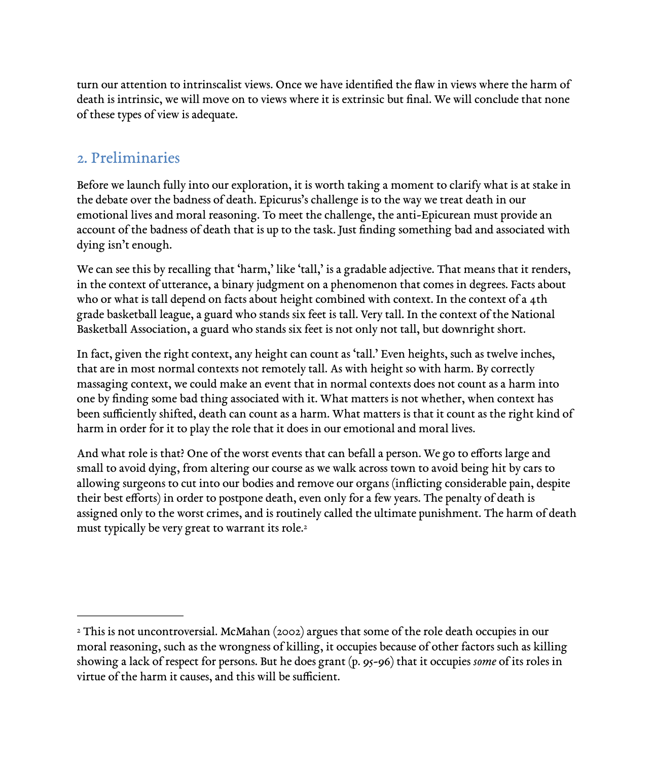turn our attention to intrinscalist views. Once we have identifed the faw in views where the harm of death is intrinsic, we will move on to views where it is extrinsic but fnal. We will conclude that none of these types of view is adequate.

## 2. Preliminaries

Before we launch fully into our exploration, it is worth taking a moment to clarify what is at stake in the debate over the badness of death. Epicurus's challenge is to the way we treat death in our emotional lives and moral reasoning. To meet the challenge, the anti-Epicurean must provide an account of the badness of death that is up to the task. Just fnding something bad and associated with dying isn't enough.

We can see this by recalling that 'harm,' like 'tall,' is a gradable adjective. That means that it renders, in the context of utterance, a binary judgment on a phenomenon that comes in degrees. Facts about who or what is tall depend on facts about height combined with context. In the context of a 4th grade basketball league, a guard who stands six feet is tall. Very tall. In the context of the National Basketball Association, a guard who stands six feet is not only not tall, but downright short.

In fact, given the right context, any height can count as 'tall.' Even heights, such as twelve inches, that are in most normal contexts not remotely tall. As with height so with harm. By correctly massaging context, we could make an event that in normal contexts does not count as a harm into one by fnding some bad thing associated with it. What matters is not whether, when context has been sufficiently shifted, death can count as a harm. What matters is that it count as the right kind of harm in order for it to play the role that it does in our emotional and moral lives.

<span id="page-1-1"></span>And what role is that? One of the worst events that can befall a person. We go to efforts large and small to avoid dying, from altering our course as we walk across town to avoid being hit by cars to allowing surgeons to cut into our bodies and remove our organs (inficting considerable pain, despite their best eforts) in order to postpone death, even only for a few years. The penalty of death is assigned only to the worst crimes, and is routinely called the ultimate punishment. The harm of death must typically be very great to warrant its role.<sup>2</sup>

<span id="page-1-0"></span><sup>&</sup>lt;sup>[2](#page-1-1)</sup> This is not uncontroversial. McMahan (2002) argues that some of the role death occupies in our moral reasoning, such as the wrongness of killing, it occupies because of other factors such as killing showing a lack of respect for persons. But he does grant (p. 95-96) that it occupies *some* of its roles in virtue of the harm it causes, and this will be sufficient.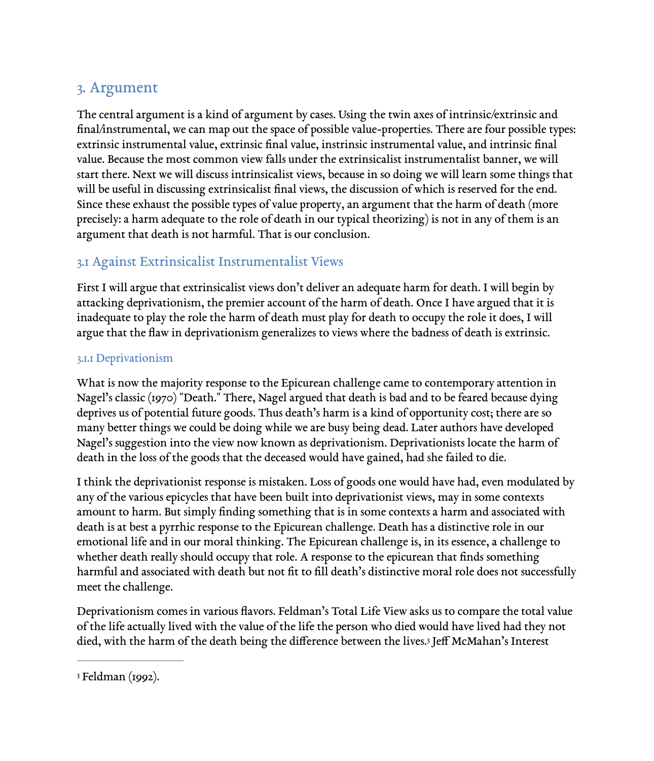## 3. Argument

The central argument is a kind of argument by cases. Using the twin axes of intrinsic/extrinsic and fnal/instrumental, we can map out the space of possible value-properties. There are four possible types: extrinsic instrumental value, extrinsic fnal value, instrinsic instrumental value, and intrinsic fnal value. Because the most common view falls under the extrinsicalist instrumentalist banner, we will start there. Next we will discuss intrinsicalist views, because in so doing we will learn some things that will be useful in discussing extrinsicalist fnal views, the discussion of which is reserved for the end. Since these exhaust the possible types of value property, an argument that the harm of death (more precisely: a harm adequate to the role of death in our typical theorizing) is not in any of them is an argument that death is not harmful. That is our conclusion.

## 3.1 Against Extrinsicalist Instrumentalist Views

First I will argue that extrinsicalist views don't deliver an adequate harm for death. I will begin by attacking deprivationism, the premier account of the harm of death. Once I have argued that it is inadequate to play the role the harm of death must play for death to occupy the role it does, I will argue that the faw in deprivationism generalizes to views where the badness of death is extrinsic.

### 3.1.1 Deprivationism

What is now the majority response to the Epicurean challenge came to contemporary attention in Nagel's classic (1970) "Death." There, Nagel argued that death is bad and to be feared because dying deprives us of potential future goods. Thus death's harm is a kind of opportunity cost; there are so many better things we could be doing while we are busy being dead. Later authors have developed Nagel's suggestion into the view now known as deprivationism. Deprivationists locate the harm of death in the loss of the goods that the deceased would have gained, had she failed to die.

I think the deprivationist response is mistaken. Loss of goods one would have had, even modulated by any of the various epicycles that have been built into deprivationist views, may in some contexts amount to harm. But simply fnding something that is in some contexts a harm and associated with death is at best a pyrrhic response to the Epicurean challenge. Death has a distinctive role in our emotional life and in our moral thinking. The Epicurean challenge is, in its essence, a challenge to whether death really should occupy that role. A response to the epicurean that fnds something harmful and associated with death but not ft to fll death's distinctive moral role does not successfully meet the challenge.

<span id="page-2-1"></span>Deprivationism comes in various favors. Feldman's Total Life View asks us to compare the total value of the life actually lived with the value of the life the person who died would have lived had they not died, with the harm of the death being the difference between the lives.<sup>3</sup> Jeff McMahan's Interest

<span id="page-2-0"></span><sup>&</sup>lt;sup>[3](#page-2-1)</sup> Feldman (1992).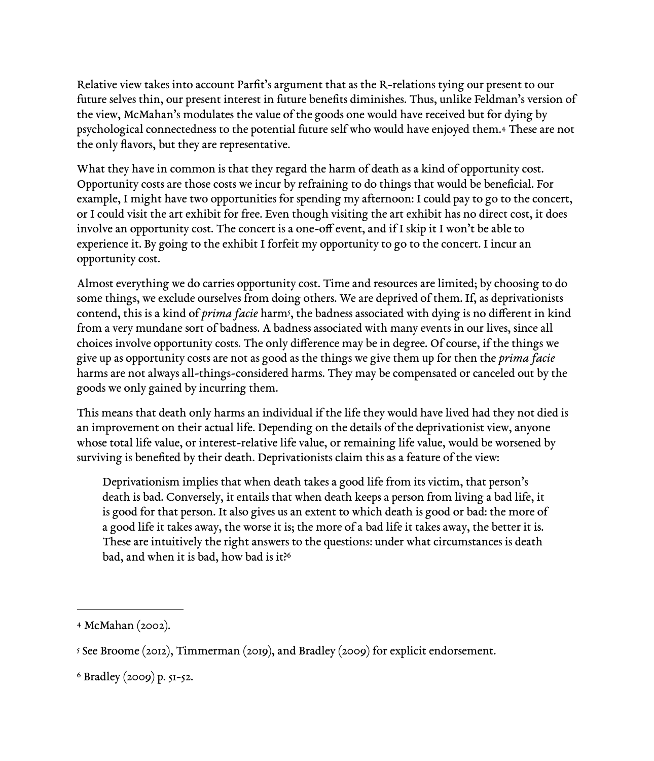Relative view takes into account Parft's argument that as the R-relations tying our present to our future selves thin, our present interest in future benefts diminishes. Thus, unlike Feldman's version of the view, McMahan's modulates the value of the goods one would have received but for dying by psychological connectedness to the potential future self who would have enjoyed them.These are not [4](#page-3-0) the only favors, but they are representative.

<span id="page-3-3"></span>What they have in common is that they regard the harm of death as a kind of opportunity cost. Opportunity costs are those costs we incur by refraining to do things that would be benefcial. For example, I might have two opportunities for spending my afternoon: I could pay to go to the concert, or I could visit the art exhibit for free. Even though visiting the art exhibit has no direct cost, it does involve an opportunity cost. The concert is a one-of event, and if I skip it I won't be able to experience it. By going to the exhibit I forfeit my opportunity to go to the concert. I incur an opportunity cost.

<span id="page-3-4"></span>Almost everything we do carries opportunity cost. Time and resources are limited; by choosing to do some things, we exclude ourselves from doing others. We are deprived of them. If, as deprivationists contend, this is a kind of *prima facie* harm<sup>[5](#page-3-1)</sup>, the badness associated with dying is no different in kind from a very mundane sort of badness. A badness associated with many events in our lives, since all choices involve opportunity costs. The only diference may be in degree. Of course, if the things we give up as opportunity costs are not as good as the things we give them up for then the *prima facie* harms are not always all-things-considered harms. They may be compensated or canceled out by the goods we only gained by incurring them.

This means that death only harms an individual if the life they would have lived had they not died is an improvement on their actual life. Depending on the details of the deprivationist view, anyone whose total life value, or interest-relative life value, or remaining life value, would be worsened by surviving is benefted by their death. Deprivationists claim this as a feature of the view:

<span id="page-3-5"></span>Deprivationism implies that when death takes a good life from its victim, that person's death is bad. Conversely, it entails that when death keeps a person from living a bad life, it is good for that person. It also gives us an extent to which death is good or bad: the more of a good life it takes away, the worse it is; the more of a bad life it takes away, the better it is. These are intuitively the right answers to the questions: under what circumstances is death bad, and when it is bad, how bad is it?[6](#page-3-2)

<span id="page-3-0"></span>McMahan (2002). [4](#page-3-3)

<span id="page-3-1"></span> $\frac{s}{2}$  See Broome (2012), Timmerman (2019), and Bradley (2009) for explicit endorsement.

<span id="page-3-2"></span> $6$  Bradley (2009) p. 51-52.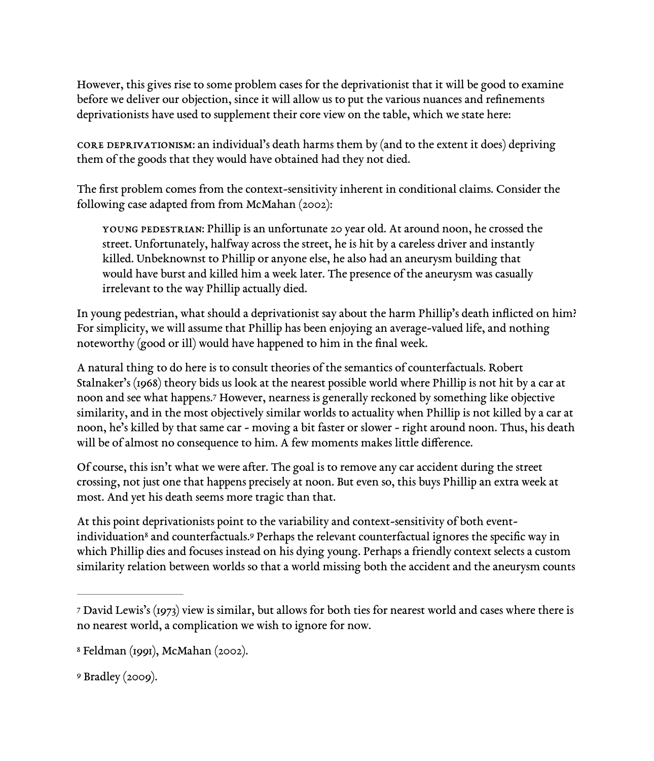However, this gives rise to some problem cases for the deprivationist that it will be good to examine before we deliver our objection, since it will allow us to put the various nuances and refnements deprivationists have used to supplement their core view on the table, which we state here:

core deprivationism: an individual's death harms them by (and to the extent it does) depriving them of the goods that they would have obtained had they not died.

The frst problem comes from the context-sensitivity inherent in conditional claims. Consider the following case adapted from from McMahan (2002):

young pedestrian: Phillip is an unfortunate 20 year old. At around noon, he crossed the street. Unfortunately, halfway across the street, he is hit by a careless driver and instantly killed. Unbeknownst to Phillip or anyone else, he also had an aneurysm building that would have burst and killed him a week later. The presence of the aneurysm was casually irrelevant to the way Phillip actually died.

In young pedestrian, what should a deprivationist say about the harm Phillip's death inficted on him? For simplicity, we will assume that Phillip has been enjoying an average-valued life, and nothing noteworthy (good or ill) would have happened to him in the fnal week.

<span id="page-4-3"></span>A natural thing to do here is to consult theories of the semantics of counterfactuals. Robert Stalnaker's (1968) theory bids us look at the nearest possible world where Phillip is not hit by a car at noon and see what happens.<sup>[7](#page-4-0)</sup> However, nearness is generally reckoned by something like objective similarity, and in the most objectively similar worlds to actuality when Phillip is not killed by a car at noon, he's killed by that same car - moving a bit faster or slower - right around noon. Thus, his death will be of almost no consequence to him. A few moments makes little diference.

Of course, this isn't what we were after. The goal is to remove any car accident during the street crossing, not just one that happens precisely at noon. But even so, this buys Phillip an extra week at most. And yet his death seems more tragic than that.

<span id="page-4-5"></span><span id="page-4-4"></span>At this point deprivationists point to the variability and context-sensitivity of both eventindividuation<sup>8</sup>and counterfactuals.<sup>9</sup> Perhaps the relevant counterfactual ignores the specific way in which Phillip dies and focuses instead on his dying young. Perhaps a friendly context selects a custom similarity relation between worlds so that a world missing both the accident and the aneurysm counts

<span id="page-4-0"></span>David Lewis's (1973) view is similar, but allows for both ties for nearest world and cases where there is [7](#page-4-3) no nearest world, a complication we wish to ignore for now.

<span id="page-4-1"></span>Feldman (1991), McMahan (2002). [8](#page-4-4)

<span id="page-4-2"></span> $9$  Bradley (2009).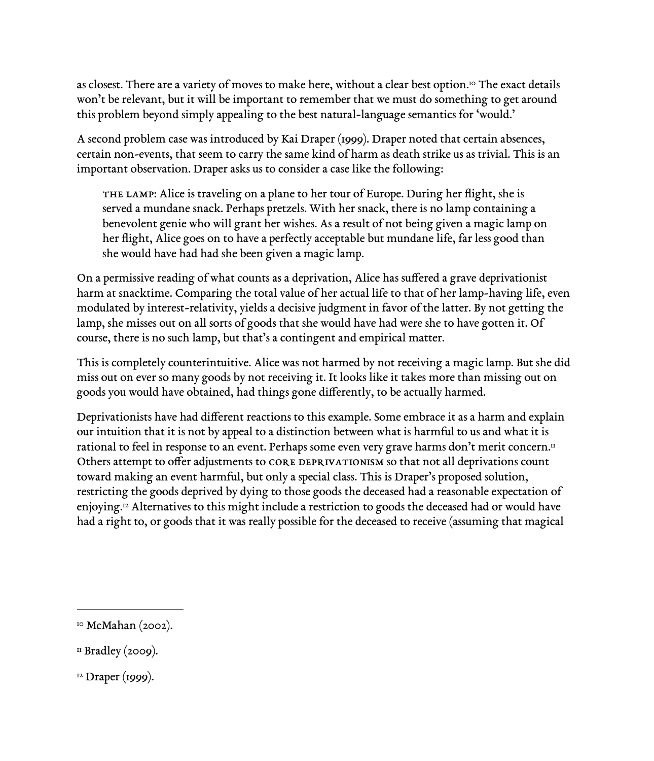as closest[.](#page-5-0) There are a variety of moves to make here, without a clear best option.<sup>[10](#page-5-0)</sup> The exact details won't be relevant, but it will be important to remember that we must do something to get around this problem beyond simply appealing to the best natural-language semantics for 'would.'

A second problem case was introduced by Kai Draper (1999). Draper noted that certain absences, certain non-events, that seem to carry the same kind of harm as death strike us as trivial. This is an important observation. Draper asks us to consider a case like the following:

<span id="page-5-3"></span>the lamp: Alice is traveling on a plane to her tour of Europe. During her fight, she is served a mundane snack. Perhaps pretzels. With her snack, there is no lamp containing a benevolent genie who will grant her wishes. As a result of not being given a magic lamp on her fight, Alice goes on to have a perfectly acceptable but mundane life, far less good than she would have had had she been given a magic lamp.

On a permissive reading of what counts as a deprivation, Alice has sufered a grave deprivationist harm at snacktime. Comparing the total value of her actual life to that of her lamp-having life, even modulated by interest-relativity, yields a decisive judgment in favor of the latter. By not getting the lamp, she misses out on all sorts of goods that she would have had were she to have gotten it. Of course, there is no such lamp, but that's a contingent and empirical matter.

This is completely counterintuitive. Alice was not harmed by not receiving a magic lamp. But she did miss out on ever so many goods by not receiving it. It looks like it takes more than missing out on goods you would have obtained, had things gone diferently, to be actually harmed.

<span id="page-5-5"></span><span id="page-5-4"></span>Deprivationists have had diferent reactions to this example. Some embrace it as a harm and explain our intuition that it is not by appeal to a distinction between what is harmful to us and what it is rational to feel in response to an event. Perhaps some even very grave harms don't merit concern.<sup>[11](#page-5-1)</sup> Others attempt to offer adjustments to CORE DEPRIVATIONISM so that not all deprivations count toward making an event harmful, but only a special class. This is Draper's proposed solution, restricting the goods deprived by dying to those goods the deceased had a reasonable expectation of enjoying.<sup>[12](#page-5-2)</sup> Alternatives to this might include a restriction to goods the deceased had or would have had a right to, or goods that it was really possible for the deceased to receive (assuming that magical

<span id="page-5-0"></span><sup>&</sup>lt;sup>[10](#page-5-3)</sup> McMahan (2002).

<span id="page-5-1"></span> $\text{ }^{\text{II}}$  Bradley (2009).

<span id="page-5-2"></span> $12$  Draper (1999).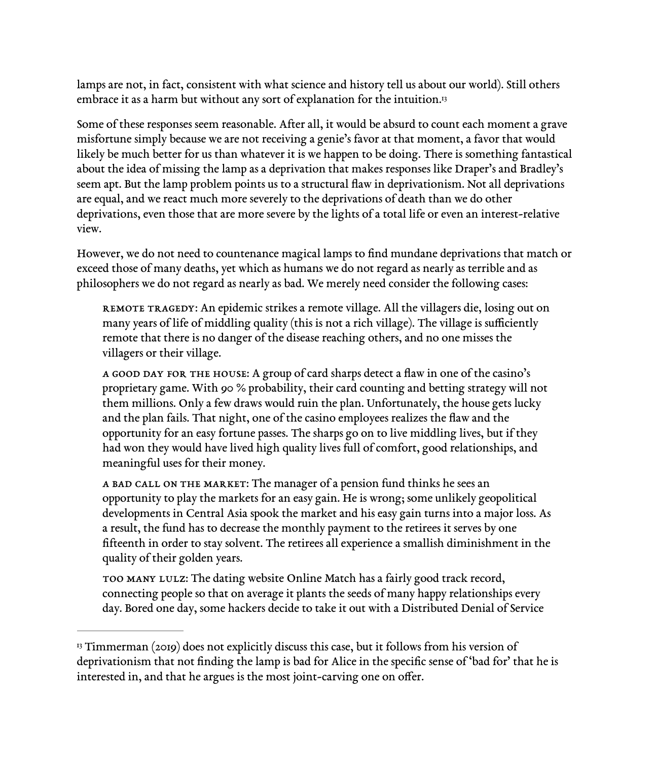<span id="page-6-1"></span>lamps are not, in fact, consistent with what science and history tell us about our world). Still others embrace it as a harm but without any sort of explanation for the intuition.<sup>[13](#page-6-0)</sup>

Some of these responses seem reasonable. After all, it would be absurd to count each moment a grave misfortune simply because we are not receiving a genie's favor at that moment, a favor that would likely be much better for us than whatever it is we happen to be doing. There is something fantastical about the idea of missing the lamp as a deprivation that makes responses like Draper's and Bradley's seem apt. But the lamp problem points us to a structural faw in deprivationism. Not all deprivations are equal, and we react much more severely to the deprivations of death than we do other deprivations, even those that are more severe by the lights of a total life or even an interest-relative view.

However, we do not need to countenance magical lamps to fnd mundane deprivations that match or exceed those of many deaths, yet which as humans we do not regard as nearly as terrible and as philosophers we do not regard as nearly as bad. We merely need consider the following cases:

remote tragedy: An epidemic strikes a remote village. All the villagers die, losing out on many years of life of middling quality (this is not a rich village). The village is sufficiently remote that there is no danger of the disease reaching others, and no one misses the villagers or their village.

a good day for the house: A group of card sharps detect a faw in one of the casino's proprietary game. With 90 % probability, their card counting and betting strategy will not them millions. Only a few draws would ruin the plan. Unfortunately, the house gets lucky and the plan fails. That night, one of the casino employees realizes the faw and the opportunity for an easy fortune passes. The sharps go on to live middling lives, but if they had won they would have lived high quality lives full of comfort, good relationships, and meaningful uses for their money.

a bad call on the market: The manager of a pension fund thinks he sees an opportunity to play the markets for an easy gain. He is wrong; some unlikely geopolitical developments in Central Asia spook the market and his easy gain turns into a major loss. As a result, the fund has to decrease the monthly payment to the retirees it serves by one ffteenth in order to stay solvent. The retirees all experience a smallish diminishment in the quality of their golden years.

too many lulz: The dating website Online Match has a fairly good track record, connecting people so that on average it plants the seeds of many happy relationships every day. Bored one day, some hackers decide to take it out with a Distributed Denial of Service

<span id="page-6-0"></span> $13$ Timmerman (2019) does not explicitly discuss this case, but it follows from his version of deprivationism that not fnding the lamp is bad for Alice in the specifc sense of 'bad for' that he is interested in, and that he argues is the most joint-carving one on offer.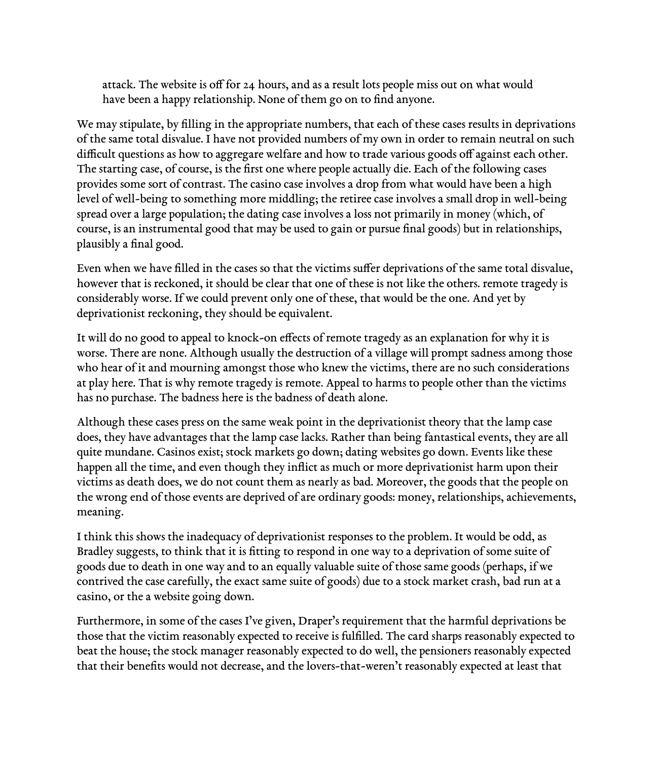attack. The website is off for 24 hours, and as a result lots people miss out on what would have been a happy relationship. None of them go on to fnd anyone.

We may stipulate, by flling in the appropriate numbers, that each of these cases results in deprivations of the same total disvalue. I have not provided numbers of my own in order to remain neutral on such difficult questions as how to aggregare welfare and how to trade various goods off against each other. The starting case, of course, is the frst one where people actually die. Each of the following cases provides some sort of contrast. The casino case involves a drop from what would have been a high level of well-being to something more middling; the retiree case involves a small drop in well-being spread over a large population; the dating case involves a loss not primarily in money (which, of course, is an instrumental good that may be used to gain or pursue fnal goods) but in relationships, plausibly a fnal good.

Even when we have flled in the cases so that the victims sufer deprivations of the same total disvalue, however that is reckoned, it should be clear that one of these is not like the others. remote tragedy is considerably worse. If we could prevent only one of these, that would be the one. And yet by deprivationist reckoning, they should be equivalent.

It will do no good to appeal to knock-on effects of remote tragedy as an explanation for why it is worse. There are none. Although usually the destruction of a village will prompt sadness among those who hear of it and mourning amongst those who knew the victims, there are no such considerations at play here. That is why remote tragedy is remote. Appeal to harms to people other than the victims has no purchase. The badness here is the badness of death alone.

Although these cases press on the same weak point in the deprivationist theory that the lamp case does, they have advantages that the lamp case lacks. Rather than being fantastical events, they are all quite mundane. Casinos exist; stock markets go down; dating websites go down. Events like these happen all the time, and even though they infict as much or more deprivationist harm upon their victims as death does, we do not count them as nearly as bad. Moreover, the goods that the people on the wrong end of those events are deprived of are ordinary goods: money, relationships, achievements, meaning.

I think this shows the inadequacy of deprivationist responses to the problem. It would be odd, as Bradley suggests, to think that it is ftting to respond in one way to a deprivation of some suite of goods due to death in one way and to an equally valuable suite of those same goods (perhaps, if we contrived the case carefully, the exact same suite of goods) due to a stock market crash, bad run at a casino, or the a website going down.

Furthermore, in some of the cases I've given, Draper's requirement that the harmful deprivations be those that the victim reasonably expected to receive is fulflled. The card sharps reasonably expected to beat the house; the stock manager reasonably expected to do well, the pensioners reasonably expected that their benefts would not decrease, and the lovers-that-weren't reasonably expected at least that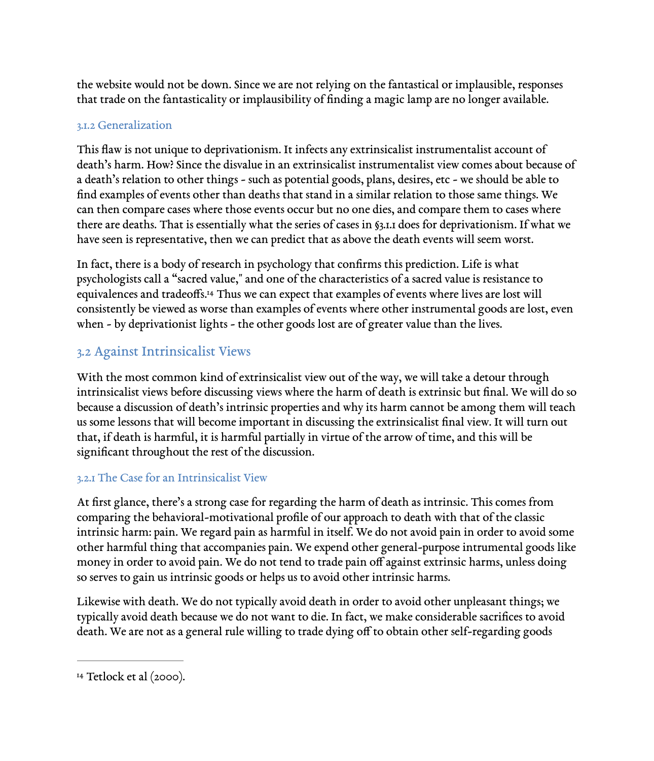the website would not be down. Since we are not relying on the fantastical or implausible, responses that trade on the fantasticality or implausibility of fnding a magic lamp are no longer available.

#### 3.1.2 Generalization

This faw is not unique to deprivationism. It infects any extrinsicalist instrumentalist account of death's harm. How? Since the disvalue in an extrinsicalist instrumentalist view comes about because of a death's relation to other things - such as potential goods, plans, desires, etc - we should be able to fnd examples of events other than deaths that stand in a similar relation to those same things. We can then compare cases where those events occur but no one dies, and compare them to cases where there are deaths. That is essentially what the series of cases in §3.1.1 does for deprivationism. If what we have seen is representative, then we can predict that as above the death events will seem worst.

<span id="page-8-1"></span>In fact, there is a body of research in psychology that confrms this prediction. Life is what psychologists call a "sacred value," and one of the characteristics of a sacred value is resistance to equivalences and tradeoffs.<sup>[14](#page-8-0)</sup> Thus we can expect that examples of events where lives are lost will consistently be viewed as worse than examples of events where other instrumental goods are lost, even when - by deprivationist lights - the other goods lost are of greater value than the lives.

### 3.2 Against Intrinsicalist Views

With the most common kind of extrinsicalist view out of the way, we will take a detour through intrinsicalist views before discussing views where the harm of death is extrinsic but fnal. We will do so because a discussion of death's intrinsic properties and why its harm cannot be among them will teach us some lessons that will become important in discussing the extrinsicalist fnal view. It will turn out that, if death is harmful, it is harmful partially in virtue of the arrow of time, and this will be signifcant throughout the rest of the discussion.

### 3.2.1 The Case for an Intrinsicalist View

At frst glance, there's a strong case for regarding the harm of death as intrinsic. This comes from comparing the behavioral-motivational profle of our approach to death with that of the classic intrinsic harm: pain. We regard pain as harmful in itself. We do not avoid pain in order to avoid some other harmful thing that accompanies pain. We expend other general-purpose intrumental goods like money in order to avoid pain. We do not tend to trade pain of against extrinsic harms, unless doing so serves to gain us intrinsic goods or helps us to avoid other intrinsic harms.

Likewise with death. We do not typically avoid death in order to avoid other unpleasant things; we typically avoid death because we do not want to die. In fact, we make considerable sacrifces to avoid death. We are not as a general rule willing to trade dying off to obtain other self-regarding goods

<span id="page-8-0"></span><sup>&</sup>lt;sup>[14](#page-8-1)</sup> Tetlock et al (2000).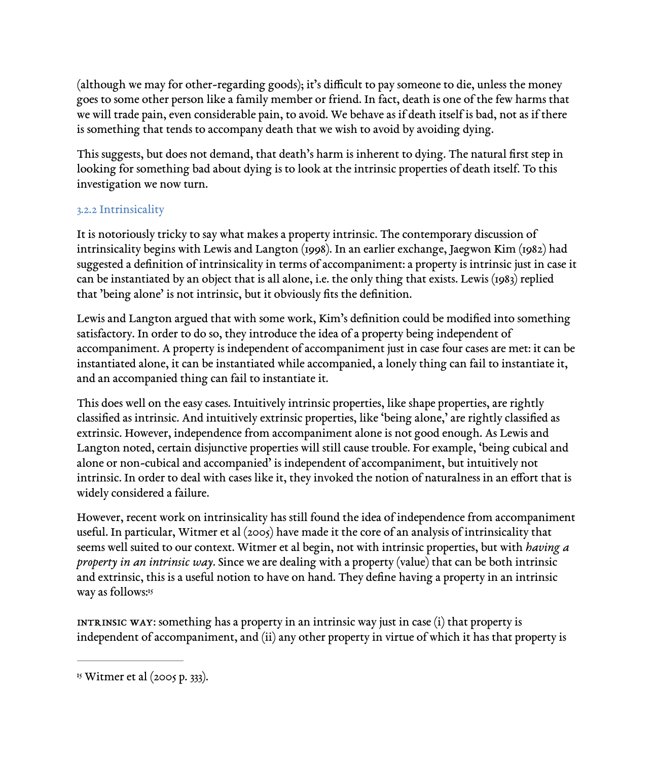(although we may for other-regarding goods); it's difficult to pay someone to die, unless the money goes to some other person like a family member or friend. In fact, death is one of the few harms that we will trade pain, even considerable pain, to avoid. We behave as if death itself is bad, not as if there is something that tends to accompany death that we wish to avoid by avoiding dying.

This suggests, but does not demand, that death's harm is inherent to dying. The natural frst step in looking for something bad about dying is to look at the intrinsic properties of death itself. To this investigation we now turn.

### 3.2.2 Intrinsicality

It is notoriously tricky to say what makes a property intrinsic. The contemporary discussion of intrinsicality begins with Lewis and Langton (1998). In an earlier exchange, Jaegwon Kim (1982) had suggested a defnition of intrinsicality in terms of accompaniment: a property is intrinsic just in case it can be instantiated by an object that is all alone, i.e. the only thing that exists. Lewis (1983) replied that 'being alone' is not intrinsic, but it obviously fts the defnition.

Lewis and Langton argued that with some work, Kim's defnition could be modifed into something satisfactory. In order to do so, they introduce the idea of a property being independent of accompaniment. A property is independent of accompaniment just in case four cases are met: it can be instantiated alone, it can be instantiated while accompanied, a lonely thing can fail to instantiate it, and an accompanied thing can fail to instantiate it.

This does well on the easy cases. Intuitively intrinsic properties, like shape properties, are rightly classifed as intrinsic. And intuitively extrinsic properties, like 'being alone,' are rightly classifed as extrinsic. However, independence from accompaniment alone is not good enough. As Lewis and Langton noted, certain disjunctive properties will still cause trouble. For example, 'being cubical and alone or non-cubical and accompanied' is independent of accompaniment, but intuitively not intrinsic. In order to deal with cases like it, they invoked the notion of naturalness in an efort that is widely considered a failure.

However, recent work on intrinsicality has still found the idea of independence from accompaniment useful. In particular, Witmer et al (2005) have made it the core of an analysis of intrinsicality that seems well suited to our context. Witmer et al begin, not with intrinsic properties, but with *having a property in an intrinsic way*. Since we are dealing with a property (value) that can be both intrinsic and extrinsic, this is a useful notion to have on hand. They defne having a property in an intrinsic way as follows:<sup>[15](#page-9-0)</sup>

<span id="page-9-1"></span>INTRINSIC WAY: something has a property in an intrinsic way just in case  $(i)$  that property is independent of accompaniment, and (ii) any other property in virtue of which it has that property is

<span id="page-9-0"></span><sup>&</sup>lt;sup>[15](#page-9-1)</sup> Witmer et al (2005 p. 333).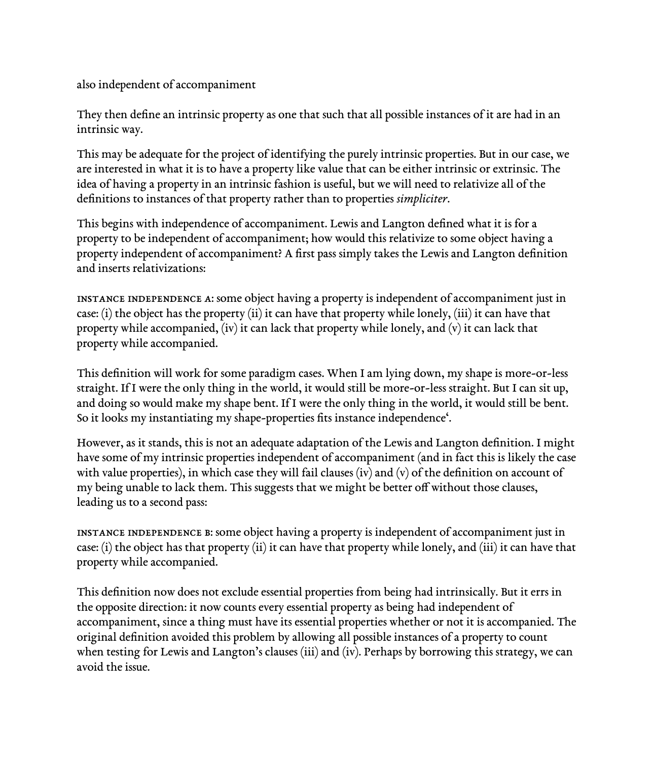also independent of accompaniment

They then defne an intrinsic property as one that such that all possible instances of it are had in an intrinsic way.

This may be adequate for the project of identifying the purely intrinsic properties. But in our case, we are interested in what it is to have a property like value that can be either intrinsic or extrinsic. The idea of having a property in an intrinsic fashion is useful, but we will need to relativize all of the defnitions to instances of that property rather than to properties *simpliciter*.

This begins with independence of accompaniment. Lewis and Langton defned what it is for a property to be independent of accompaniment; how would this relativize to some object having a property independent of accompaniment? A frst pass simply takes the Lewis and Langton defnition and inserts relativizations:

instance independence a: some object having a property is independent of accompaniment just in case: (i) the object has the property (ii) it can have that property while lonely, (iii) it can have that property while accompanied, (iv) it can lack that property while lonely, and (v) it can lack that property while accompanied.

This defnition will work for some paradigm cases. When I am lying down, my shape is more-or-less straight. If I were the only thing in the world, it would still be more-or-less straight. But I can sit up, and doing so would make my shape bent. If I were the only thing in the world, it would still be bent. So it looks my instantiating my shape-properties fts instance independence'.

However, as it stands, this is not an adequate adaptation of the Lewis and Langton defnition. I might have some of my intrinsic properties independent of accompaniment (and in fact this is likely the case with value properties), in which case they will fail clauses (iv) and (v) of the definition on account of my being unable to lack them. This suggests that we might be better off without those clauses, leading us to a second pass:

instance independence b: some object having a property is independent of accompaniment just in case: (i) the object has that property (ii) it can have that property while lonely, and (iii) it can have that property while accompanied.

This defnition now does not exclude essential properties from being had intrinsically. But it errs in the opposite direction: it now counts every essential property as being had independent of accompaniment, since a thing must have its essential properties whether or not it is accompanied. The original defnition avoided this problem by allowing all possible instances of a property to count when testing for Lewis and Langton's clauses (iii) and (iv). Perhaps by borrowing this strategy, we can avoid the issue.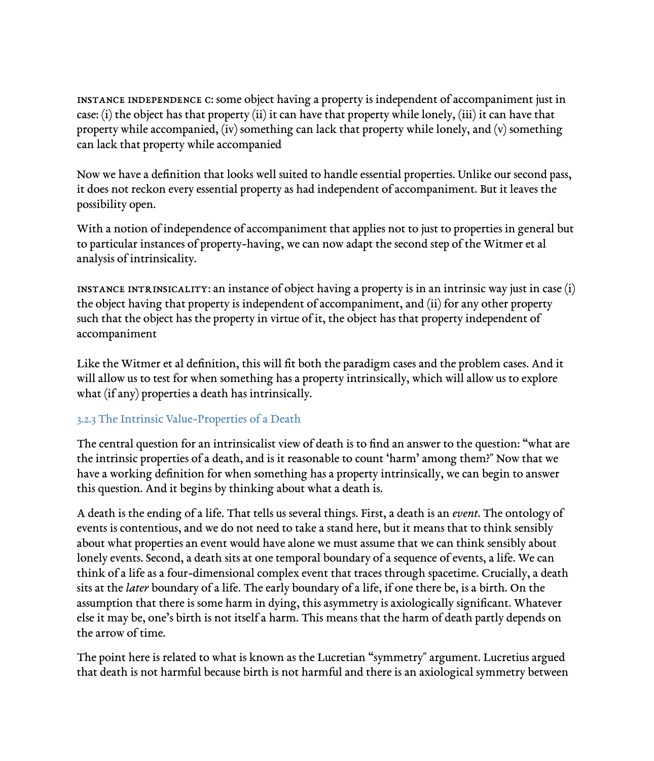instance independence c: some object having a property is independent of accompaniment just in case: (i) the object has that property (ii) it can have that property while lonely, (iii) it can have that property while accompanied, (iv) something can lack that property while lonely, and (v) something can lack that property while accompanied

Now we have a defnition that looks well suited to handle essential properties. Unlike our second pass, it does not reckon every essential property as had independent of accompaniment. But it leaves the possibility open.

With a notion of independence of accompaniment that applies not to just to properties in general but to particular instances of property-having, we can now adapt the second step of the Witmer et al analysis of intrinsicality.

instance intrinsicality: an instance of object having a property is in an intrinsic way just in case (i) the object having that property is independent of accompaniment, and (ii) for any other property such that the object has the property in virtue of it, the object has that property independent of accompaniment

Like the Witmer et al defnition, this will ft both the paradigm cases and the problem cases. And it will allow us to test for when something has a property intrinsically, which will allow us to explore what (if any) properties a death has intrinsically.

### 3.2.3 The Intrinsic Value-Properties of a Death

The central question for an intrinsicalist view of death is to fnd an answer to the question: "what are the intrinsic properties of a death, and is it reasonable to count 'harm' among them?" Now that we have a working defnition for when something has a property intrinsically, we can begin to answer this question. And it begins by thinking about what a death is.

A death is the ending of a life. That tells us several things. First, a death is an *event*. The ontology of events is contentious, and we do not need to take a stand here, but it means that to think sensibly about what properties an event would have alone we must assume that we can think sensibly about lonely events. Second, a death sits at one temporal boundary of a sequence of events, a life. We can think of a life as a four-dimensional complex event that traces through spacetime. Crucially, a death sits at the *later* boundary of a life. The early boundary of a life, if one there be, is a birth. On the assumption that there is some harm in dying, this asymmetry is axiologically signifcant. Whatever else it may be, one's birth is not itself a harm. This means that the harm of death partly depends on the arrow of time.

The point here is related to what is known as the Lucretian "symmetry" argument. Lucretius argued that death is not harmful because birth is not harmful and there is an axiological symmetry between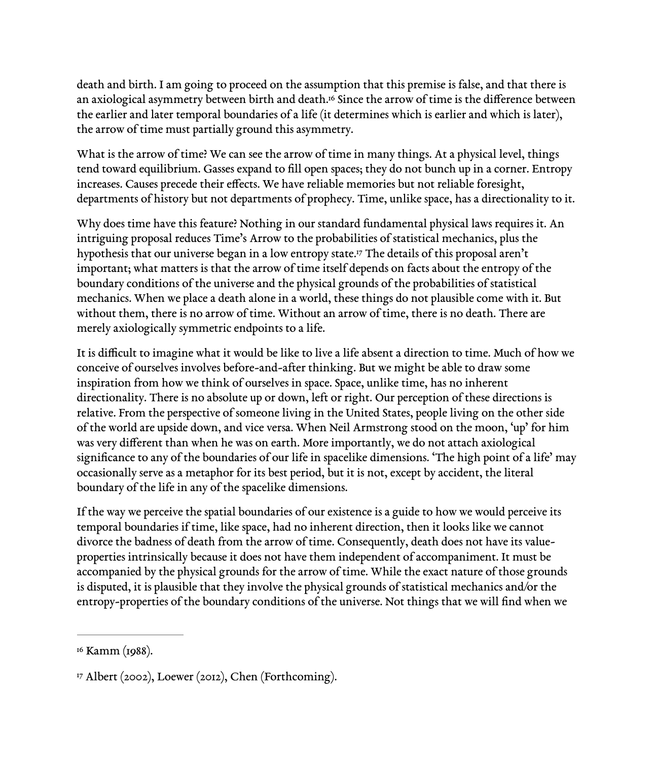<span id="page-12-2"></span>death and birth. I am going to proceed on the assumption that this premise is false, and that there is anaxiological asymmetry between birth and death.<sup>16</sup> Since the arrow of time is the difference between the earlier and later temporal boundaries of a life (it determines which is earlier and which is later), the arrow of time must partially ground this asymmetry.

What is the arrow of time? We can see the arrow of time in many things. At a physical level, things tend toward equilibrium. Gasses expand to fll open spaces; they do not bunch up in a corner. Entropy increases. Causes precede their effects. We have reliable memories but not reliable foresight, departments of history but not departments of prophecy. Time, unlike space, has a directionality to it.

<span id="page-12-3"></span>Why does time have this feature? Nothing in our standard fundamental physical laws requires it. An intriguing proposal reduces Time's Arrow to the probabilities of statistical mechanics, plus the hypothesis that our universe began in a low entropy state.<sup>[17](#page-12-1)</sup> The details of this proposal aren't important; what matters is that the arrow of time itself depends on facts about the entropy of the boundary conditions of the universe and the physical grounds of the probabilities of statistical mechanics. When we place a death alone in a world, these things do not plausible come with it. But without them, there is no arrow of time. Without an arrow of time, there is no death. There are merely axiologically symmetric endpoints to a life.

It is difcult to imagine what it would be like to live a life absent a direction to time. Much of how we conceive of ourselves involves before-and-after thinking. But we might be able to draw some inspiration from how we think of ourselves in space. Space, unlike time, has no inherent directionality. There is no absolute up or down, left or right. Our perception of these directions is relative. From the perspective of someone living in the United States, people living on the other side of the world are upside down, and vice versa. When Neil Armstrong stood on the moon, 'up' for him was very diferent than when he was on earth. More importantly, we do not attach axiological signifcance to any of the boundaries of our life in spacelike dimensions. 'The high point of a life' may occasionally serve as a metaphor for its best period, but it is not, except by accident, the literal boundary of the life in any of the spacelike dimensions.

If the way we perceive the spatial boundaries of our existence is a guide to how we would perceive its temporal boundaries if time, like space, had no inherent direction, then it looks like we cannot divorce the badness of death from the arrow of time. Consequently, death does not have its valueproperties intrinsically because it does not have them independent of accompaniment. It must be accompanied by the physical grounds for the arrow of time. While the exact nature of those grounds is disputed, it is plausible that they involve the physical grounds of statistical mechanics and/or the entropy-properties of the boundary conditions of the universe. Not things that we will fnd when we

<span id="page-12-0"></span><sup>&</sup>lt;sup>[16](#page-12-2)</sup> Kamm (1988).

<span id="page-12-1"></span>Albert (2002), Loewer (2012), Chen (Forthcoming). [17](#page-12-3)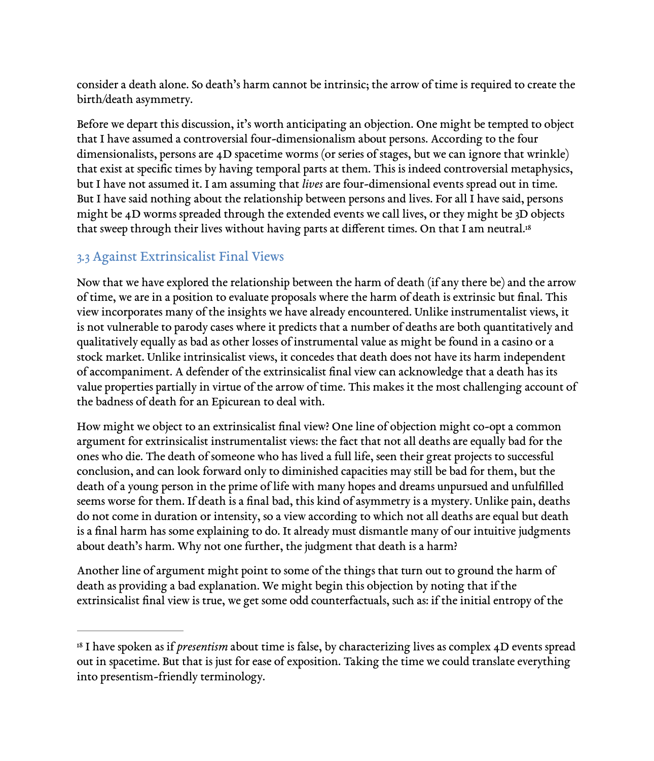consider a death alone. So death's harm cannot be intrinsic; the arrow of time is required to create the birth/death asymmetry.

Before we depart this discussion, it's worth anticipating an objection. One might be tempted to object that I have assumed a controversial four-dimensionalism about persons. According to the four dimensionalists, persons are 4D spacetime worms (or series of stages, but we can ignore that wrinkle) that exist at specifc times by having temporal parts at them. This is indeed controversial metaphysics, but I have not assumed it. I am assuming that *lives* are four-dimensional events spread out in time. But I have said nothing about the relationship between persons and lives. For all I have said, persons might be 4D worms spreaded through the extended events we call lives, or they might be 3D objects that sweep through their lives without having parts at different times. On that I am neutral.<sup>[18](#page-13-0)</sup>

### <span id="page-13-1"></span>3.3 Against Extrinsicalist Final Views

Now that we have explored the relationship between the harm of death (if any there be) and the arrow of time, we are in a position to evaluate proposals where the harm of death is extrinsic but fnal. This view incorporates many of the insights we have already encountered. Unlike instrumentalist views, it is not vulnerable to parody cases where it predicts that a number of deaths are both quantitatively and qualitatively equally as bad as other losses of instrumental value as might be found in a casino or a stock market. Unlike intrinsicalist views, it concedes that death does not have its harm independent of accompaniment. A defender of the extrinsicalist fnal view can acknowledge that a death has its value properties partially in virtue of the arrow of time. This makes it the most challenging account of the badness of death for an Epicurean to deal with.

How might we object to an extrinsicalist fnal view? One line of objection might co-opt a common argument for extrinsicalist instrumentalist views: the fact that not all deaths are equally bad for the ones who die. The death of someone who has lived a full life, seen their great projects to successful conclusion, and can look forward only to diminished capacities may still be bad for them, but the death of a young person in the prime of life with many hopes and dreams unpursued and unfulflled seems worse for them. If death is a fnal bad, this kind of asymmetry is a mystery. Unlike pain, deaths do not come in duration or intensity, so a view according to which not all deaths are equal but death is a fnal harm has some explaining to do. It already must dismantle many of our intuitive judgments about death's harm. Why not one further, the judgment that death is a harm?

Another line of argument might point to some of the things that turn out to ground the harm of death as providing a bad explanation. We might begin this objection by noting that if the extrinsicalist fnal view is true, we get some odd counterfactuals, such as: if the initial entropy of the

<span id="page-13-0"></span><sup>&</sup>lt;sup>[18](#page-13-1)</sup> I have spoken as if *presentism* about time is false, by characterizing lives as complex 4D events spread out in spacetime. But that is just for ease of exposition. Taking the time we could translate everything into presentism-friendly terminology.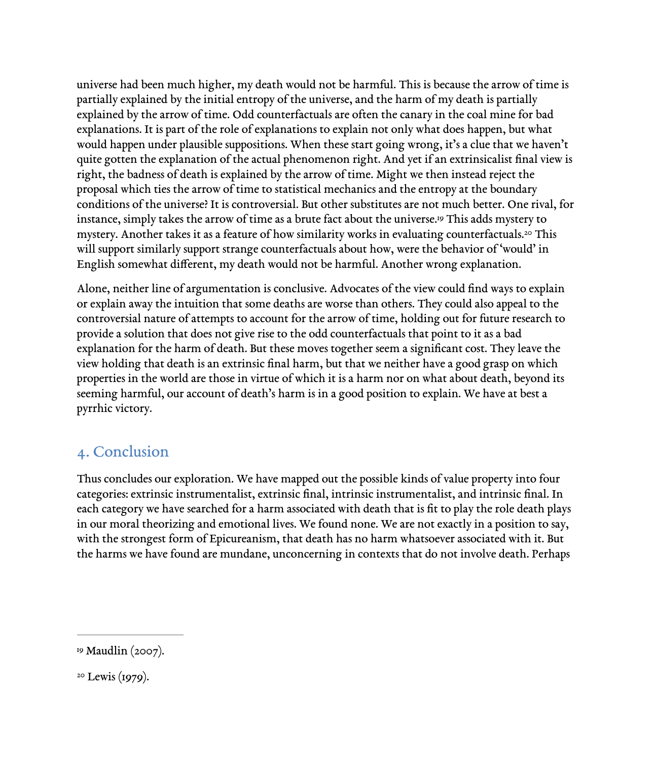universe had been much higher, my death would not be harmful. This is because the arrow of time is partially explained by the initial entropy of the universe, and the harm of my death is partially explained by the arrow of time. Odd counterfactuals are often the canary in the coal mine for bad explanations. It is part of the role of explanations to explain not only what does happen, but what would happen under plausible suppositions. When these start going wrong, it's a clue that we haven't quite gotten the explanation of the actual phenomenon right. And yet if an extrinsicalist fnal view is right, the badness of death is explained by the arrow of time. Might we then instead reject the proposal which ties the arrow of time to statistical mechanics and the entropy at the boundary conditions of the universe? It is controversial. But other substitutes are not much better. One rival, for instance, simply takes the arrow of time as a brute fact about the universe[.](#page-14-0)<sup>[19](#page-14-0)</sup> This adds mystery to mystery. Another takes it as a feature of how similarity works in evaluating counterfactuals.<sup>[20](#page-14-1)</sup> This will support similarly support strange counterfactuals about how, were the behavior of 'would' in English somewhat diferent, my death would not be harmful. Another wrong explanation.

<span id="page-14-3"></span><span id="page-14-2"></span>Alone, neither line of argumentation is conclusive. Advocates of the view could fnd ways to explain or explain away the intuition that some deaths are worse than others. They could also appeal to the controversial nature of attempts to account for the arrow of time, holding out for future research to provide a solution that does not give rise to the odd counterfactuals that point to it as a bad explanation for the harm of death. But these moves together seem a signifcant cost. They leave the view holding that death is an extrinsic fnal harm, but that we neither have a good grasp on which properties in the world are those in virtue of which it is a harm nor on what about death, beyond its seeming harmful, our account of death's harm is in a good position to explain. We have at best a pyrrhic victory.

## 4. Conclusion

Thus concludes our exploration. We have mapped out the possible kinds of value property into four categories: extrinsic instrumentalist, extrinsic fnal, intrinsic instrumentalist, and intrinsic fnal. In each category we have searched for a harm associated with death that is ft to play the role death plays in our moral theorizing and emotional lives. We found none. We are not exactly in a position to say, with the strongest form of Epicureanism, that death has no harm whatsoever associated with it. But the harms we have found are mundane, unconcerning in contexts that do not involve death. Perhaps

<span id="page-14-0"></span><sup>&</sup>lt;sup>[19](#page-14-2)</sup> Maudlin (2007).

<span id="page-14-1"></span> $20$  Lewis (1979).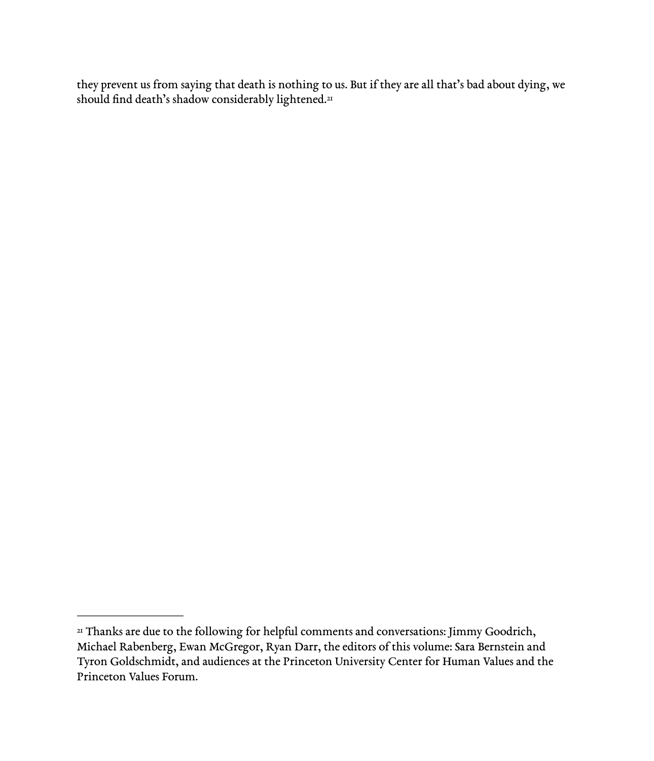<span id="page-15-1"></span>they prevent us from saying that death is nothing to us. But if they are all that's bad about dying, we should fnd death's shadow considerably lightened.[21](#page-15-0)

<span id="page-15-0"></span><sup>&</sup>lt;sup>21</sup>Thanks are due to the following for helpful comments and conversations: Jimmy Goodrich, Michael Rabenberg, Ewan McGregor, Ryan Darr, the editors of this volume: Sara Bernstein and Tyron Goldschmidt, and audiences at the Princeton University Center for Human Values and the Princeton Values Forum.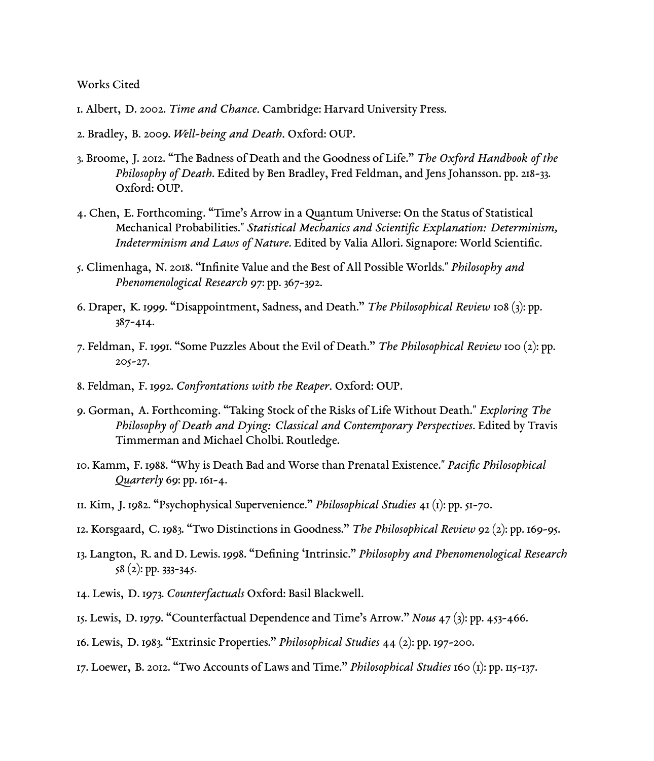Works Cited

- 1. Albert, D. 2002. *Time and Chance.* Cambridge: Harvard University Press.
- 2. Bradley, B. 2009. *Well-being and Death.* Oxford: OUP.
- 3. Broome, J. 2012. "The Badness of Death and the Goodness of Life." *The Oxford Handbook of the Philosophy of Death*. Edited by Ben Bradley, Fred Feldman, and Jens Johansson. pp. 218-33. Oxford: OUP.
- 4. Chen, E. Forthcoming. "Time's Arrow in a Quantum Universe: On the Status of Statistical Mechanical Probabilities." *Statistical Mechanics and Scientific Explanation: Determinism, Indeterminism and Laws of Nature*. Edited by Valia Allori. Signapore: World Scientifc.
- 5. Climenhaga, N. 2018. "Infnite Value and the Best of All Possible Worlds." *Philosophy and Phenomenological Research* 97: pp. 367-392.
- 6. Draper, K. 1999. "Disappointment, Sadness, and Death." *The Philosophical Review* 108 (3): pp. 387-414.
- 7. Feldman, F. 1991. "Some Puzzles About the Evil of Death." *The Philosophical Review* 100 (2): pp. 205-27.
- 8. Feldman, F. 1992. *Confrontations with the Reaper.* Oxford: OUP.
- 9. Gorman, A. Forthcoming. "Taking Stock of the Risks of Life Without Death." *Exploring The Philosophy of Death and Dying: Classical and Contemporary Perspectives*. Edited by Travis Timmerman and Michael Cholbi. Routledge.
- 10. Kamm, F. 1988. "Why is Death Bad and Worse than Prenatal Existence." *Pacific Philosophical Quarterly* 69: pp. 161-4.
- 11. Kim, J. 1982. "Psychophysical Supervenience." *Philosophical Studies* 41 (1): pp. 51-70.
- 12. Korsgaard, C. 1983. "Two Distinctions in Goodness." *The Philosophical Review* 92 (2): pp. 169-95.
- 13. Langton, R. and D. Lewis. 1998. "Defning 'Intrinsic." *Philosophy and Phenomenological Research* 58 (2): pp. 333-345.
- 14. Lewis, D. 1973. *Counterfactuals* Oxford: Basil Blackwell.
- 15. Lewis, D. 1979. "Counterfactual Dependence and Time's Arrow." *Nou* 47 (3): pp. 453-466.
- 16. Lewis, D. 1983. "Extrinsic Properties." *Philosophical Studies* 44 (2): pp. 197-200.
- 17. Loewer, B. 2012. "Two Accounts of Laws and Time." *Philosophical Studies* 160 (1): pp. 115-137.